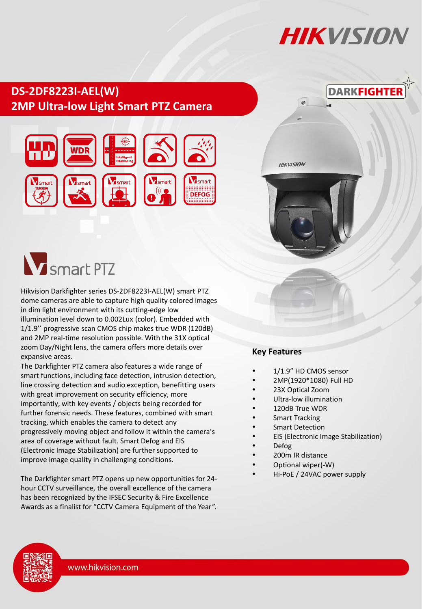# **HIKVISIO**I

## **DS-2DF8223I-AEL(W) 2MP Ultra-low Light Smart PTZ Camera**





**HIKVISION** 

 $\mathcal{Q}$ 



# **W** smart PTZ

Hikvision Darkfighter series DS-2DF8223I-AEL(W) smart PTZ dome cameras are able to capture high quality colored images in dim light environment with its cutting-edge low illumination level down to 0.002Lux (color). Embedded with 1/1.9'' progressive scan CMOS chip makes true WDR (120dB) and 2MP real-time resolution possible. With the 31X optical zoom Day/Night lens, the camera offers more details over expansive areas.

The Darkfighter PTZ camera also features a wide range of smart functions, including face detection, intrusion detection, line crossing detection and audio exception, benefitting users with great improvement on security efficiency, more importantly, with key events / objects being recorded for further forensic needs. These features, combined with smart tracking, which enables the camera to detect any progressively moving object and follow it within the camera's area of coverage without fault. Smart Defog and EIS (Electronic Image Stabilization) are further supported to improve image quality in challenging conditions.

The Darkfighter smart PTZ opens up new opportunities for 24 hour CCTV surveillance, the overall excellence of the camera has been recognized by the IFSEC Security & Fire Excellence Awards as a finalist for "CCTV Camera Equipment of the Year".

#### **Key Features**

- 1/1.9" HD CMOS sensor
- 2MP(1920\*1080) Full HD
- 23X Optical Zoom
- Ultra-low illumination
- 120dB True WDR
- Smart Tracking
- Smart Detection
- EIS (Electronic Image Stabilization)
- Defog
- 200m IR distance
- Optional wiper(-W)
- Hi-PoE / 24VAC power supply

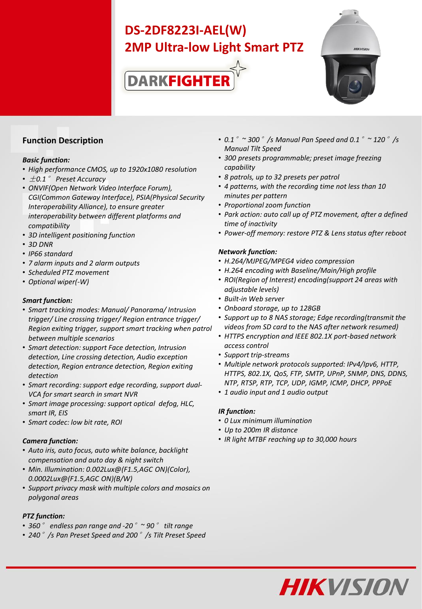# **DS-2DF8223I-AEL(W) 2MP Ultra-low Light Smart PTZ**





#### **Function Description**

#### *Basic function:*

- *High performance CMOS, up to 1920x1080 resolution*
- ±*0.1*° *Preset Accuracy*
- *ONVIF(Open Network Video Interface Forum), CGI(Common Gateway Interface), PSIA(Physical Security Interoperability Alliance), to ensure greater interoperability between different platforms and compatibility*
- *3D intelligent positioning function*
- *3D DNR*
- *IP66 standard*
- *7 alarm inputs and 2 alarm outputs*
- *Scheduled PTZ movement*
- *Optional wiper(-W)*

#### *Smart function:*

- *Smart tracking modes: Manual/ Panorama/ Intrusion trigger/ Line crossing trigger/ Region entrance trigger/ Region exiting trigger, support smart tracking when patrol between multiple scenarios*
- *Smart detection: support Face detection, Intrusion detection, Line crossing detection, Audio exception detection, Region entrance detection, Region exiting detection*
- *Smart recording: support edge recording, support dual-VCA for smart search in smart NVR*
- *Smart image processing: support optical defog, HLC, smart IR, EIS*
- *Smart codec: low bit rate, ROI*

#### *Camera function:*

- *Auto iris, auto focus, auto white balance, backlight compensation and auto day & night switch*
- *Min. Illumination: 0.002Lux@(F1.5,AGC ON)(Color), 0.0002Lux@(F1.5,AGC ON)(B/W)*
- *Support privacy mask with multiple colors and mosaics on polygonal areas*

#### *PTZ function:*

- *360*° *endless pan range and -20*°*~ 90*° *tilt range*
- *240*°*/s Pan Preset Speed and 200*°*/s Tilt Preset Speed*
- *0.1*°*~ 300*°*/s Manual Pan Speed and 0.1*°*~ 120*°*/s Manual Tilt Speed*
- *300 presets programmable; preset image freezing capability*
- *8 patrols, up to 32 presets per patrol*
- *4 patterns, with the recording time not less than 10 minutes per pattern*
- *Proportional zoom function*
- *Park action: auto call up of PTZ movement, after a defined time of inactivity*
- *Power-off memory: restore PTZ & Lens status after reboot*

#### *Network function:*

- *H.264/MJPEG/MPEG4 video compression*
- *H.264 encoding with Baseline/Main/High profile*
- *ROI(Region of Interest) encoding(support 24 areas with adjustable levels)*
- *Built-in Web server*
- *Onboard storage, up to 128GB*
- *Support up to 8 NAS storage; Edge recording(transmit the videos from SD card to the NAS after network resumed)*
- *HTTPS encryption and IEEE 802.1X port-based network access control*
- *Support trip-streams*
- *Multiple network protocols supported: IPv4/Ipv6, HTTP, HTTPS, 802.1X, QoS, FTP, SMTP, UPnP, SNMP, DNS, DDNS, NTP, RTSP, RTP, TCP, UDP, IGMP, ICMP, DHCP, PPPoE*
- *1 audio input and 1 audio output*

#### *IR function:*

- *0 Lux minimum illumination*
- *Up to 200m IR distance*
- *IR light MTBF reaching up to 30,000 hours*

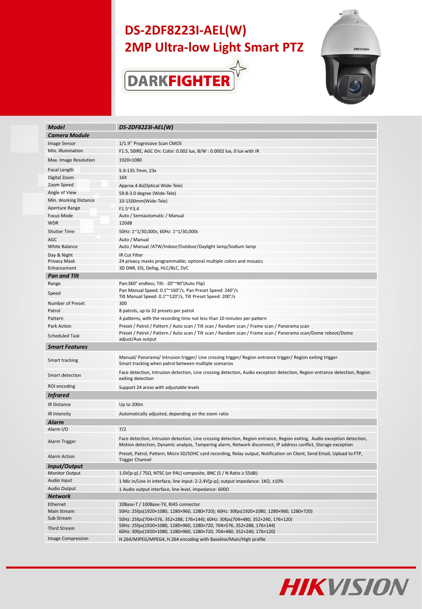## **DS-2DF8223I-AEL(W) 2MP Ultra-low Light Smart PTZ**





| <b>Model</b>             | DS-2DF8223I-AEL(W)                                                                                                                                                                                                                           |  |
|--------------------------|----------------------------------------------------------------------------------------------------------------------------------------------------------------------------------------------------------------------------------------------|--|
| <b>Camera Module</b>     |                                                                                                                                                                                                                                              |  |
| <b>Image Sensor</b>      | 1/1.9" Progressive Scan CMOS                                                                                                                                                                                                                 |  |
| Min. Illumination        | F1.5, 50IRE, AGC On: Color: 0.002 lux, B/W : 0.0002 lux, 0 lux with IR                                                                                                                                                                       |  |
| Max. Image Resolution    | 1920×1080                                                                                                                                                                                                                                    |  |
| Focal Length             | 5.9-135.7mm, 23x                                                                                                                                                                                                                             |  |
| Digital Zoom             | 16X                                                                                                                                                                                                                                          |  |
| Zoom Speed               | Approx.4.8s(Optical Wide-Tele)                                                                                                                                                                                                               |  |
| Angle of View            | 59.8-3.0 degree (Wide-Tele)                                                                                                                                                                                                                  |  |
| Min. Working Distance    | 10-1500mm(Wide-Tele)                                                                                                                                                                                                                         |  |
| Aperture Range           | F1.5~F3.4                                                                                                                                                                                                                                    |  |
| <b>Focus Mode</b>        | Auto / Semiautomatic / Manual                                                                                                                                                                                                                |  |
| <b>WDR</b>               | 120dB                                                                                                                                                                                                                                        |  |
| <b>Shutter Time</b>      | 50Hz: 1~1/30,000s; 60Hz: 1~1/30,000s                                                                                                                                                                                                         |  |
| AGC                      | Auto / Manual                                                                                                                                                                                                                                |  |
| White Balance            | Auto / Manual /ATW/Indoor/Outdoor/Daylight lamp/Sodium lamp                                                                                                                                                                                  |  |
| Day & Night              | IR Cut Filter                                                                                                                                                                                                                                |  |
| Privacy Mask             | 24 privacy masks programmable; optional multiple colors and mosaics                                                                                                                                                                          |  |
| Enhancement              | 3D DNR, EIS, Defog, HLC/BLC, SVC                                                                                                                                                                                                             |  |
| <b>Pan and Tilt</b>      |                                                                                                                                                                                                                                              |  |
| Range                    | Pan:360° endless; Tilt: -20°~90°(Auto Flip)                                                                                                                                                                                                  |  |
|                          | Pan Manual Speed: 0.1°~160°/s, Pan Preset Speed: 240°/s                                                                                                                                                                                      |  |
| Speed                    | Tilt Manual Speed: 0.1°~120°/s, Tilt Preset Speed: 200°/s                                                                                                                                                                                    |  |
| Number of Preset         | 300                                                                                                                                                                                                                                          |  |
| Patrol                   | 8 patrols, up to 32 presets per patrol                                                                                                                                                                                                       |  |
| Pattern                  | 4 patterns, with the recording time not less than 10 minutes per pattern                                                                                                                                                                     |  |
| Park Action              | Preset / Patrol / Pattern / Auto scan / Tilt scan / Random scan / Frame scan / Panorama scan                                                                                                                                                 |  |
| <b>Scheduled Task</b>    | Preset / Patrol / Pattern / Auto scan / Tilt scan / Random scan / Frame scan / Panorama scan/Dome reboot/Dome<br>adjust/Aux output                                                                                                           |  |
| <b>Smart Features</b>    |                                                                                                                                                                                                                                              |  |
| Smart tracking           | Manual/ Panorama/ Intrusion trigger/ Line crossing trigger/ Region entrance trigger/ Region exiting trigger<br>Smart tracking when patrol between multiple scenarios                                                                         |  |
| Smart detection          | Face detection, Intrusion detection, Line crossing detection, Audio exception detection, Region entrance detection, Region<br>exiting detection                                                                                              |  |
| ROI encoding             | Support 24 areas with adjustable levels                                                                                                                                                                                                      |  |
| <b>Infrared</b>          |                                                                                                                                                                                                                                              |  |
| <b>IR Distance</b>       |                                                                                                                                                                                                                                              |  |
|                          | Up to 200m                                                                                                                                                                                                                                   |  |
| IR Intensity             | Automatically adjusted, depending on the zoom ratio                                                                                                                                                                                          |  |
| Alarm                    |                                                                                                                                                                                                                                              |  |
| Alarm I/O                | 7/2                                                                                                                                                                                                                                          |  |
| Alarm Trigger            | Face detection, Intrusion detection, Line crossing detection, Region entrance, Region exiting, Audio exception detection,<br>Motion detection, Dynamic analysis, Tampering alarm, Network disconnect, IP address conflict, Storage exception |  |
| Alarm Action             | Preset, Patrol, Pattern, Micro SD/SDHC card recording, Relay output, Notification on Client, Send Email, Upload to FTP,<br><b>Trigger Channel</b>                                                                                            |  |
| Input/Output             |                                                                                                                                                                                                                                              |  |
| <b>Monitor Output</b>    | 1.0V[p-p] / 75 $\Omega$ , NTSC (or PAL) composite, BNC (S / N Ratio $\geq$ 55dB)                                                                                                                                                             |  |
| Audio Input              | 1 Mic in/Line in interface, line input: 2-2.4V[p-p]; output impedance: $1K\Omega$ , $\pm 10\%$                                                                                                                                               |  |
| Audio Output             | 1 Audio output interface, line level, impedance: 600Ω                                                                                                                                                                                        |  |
| <b>Network</b>           |                                                                                                                                                                                                                                              |  |
| Ethernet                 | 10Base-T / 100Base-TX, RJ45 connector                                                                                                                                                                                                        |  |
| Main Stream              | 50Hz: 25fps(1920×1080, 1280×960, 1280×720); 60Hz: 30fps(1920×1080, 1280×960, 1280×720)                                                                                                                                                       |  |
| Sub Stream               | 50Hz: 25fps(704×576, 352×288, 176×144); 60Hz: 30fps(704×480, 352×240, 176×120)                                                                                                                                                               |  |
| Third Stream             | 50Hz: 25fps(1920×1080, 1280×960, 1280×720, 704×576, 352×288, 176×144)<br>60Hz: 30fps(1920×1080, 1280×960, 1280×720, 704×480, 352×240, 176×120)                                                                                               |  |
| <b>Image Compression</b> | H.264/MJPEG/MPEG4, H.264 encoding with Baseline/Main/High profile                                                                                                                                                                            |  |